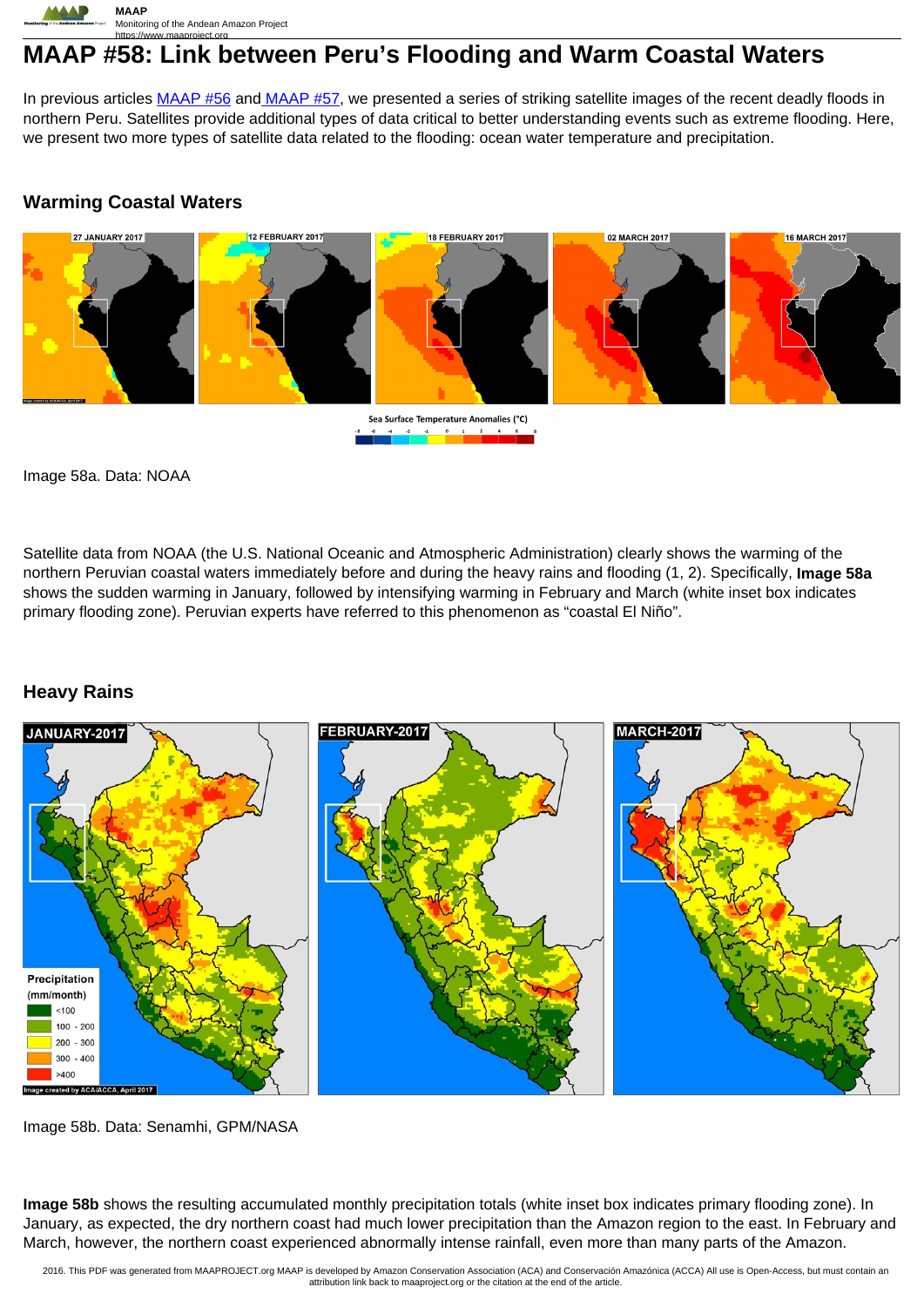

# **MAAP #58: Link between Peru's Flooding and Warm Coastal Waters**

In previous articles [MAAP #56](https://www.maaproject.org/2017/floods/) and MAAP #57, we presented a series of striking satellite images of the recent deadly floods in northern Peru. Satellites provide additional types of data critical to better understanding events such as extreme flooding. Here, we present two more types of satellite data related to the flooding: ocean water temperature and precipitation.

## **Warming Coastal Waters**



Sea Surface Temperature Anomalies (°C)  $\begin{array}{|c|c|c|c|c|}\n\hline\n0 & 1 & 2 \\
\hline\n\end{array}$ 

Image 58a. Data: NOAA

Satellite data from NOAA (the U.S. National Oceanic and Atmospheric Administration) clearly shows the warming of the northern Peruvian coastal waters immediately before and during the heavy rains and flooding (1, 2). Specifically, **Image 58a** shows the sudden warming in January, followed by intensifying warming in February and March (white inset box indicates primary flooding zone). Peruvian experts have referred to this phenomenon as "coastal El Niño".

## **Heavy Rains**



Image 58b. Data: Senamhi, GPM/NASA

**Image 58b** shows the resulting accumulated monthly precipitation totals (white inset box indicates primary flooding zone). In January, as expected, the dry northern coast had much lower precipitation than the Amazon region to the east. In February and March, however, the northern coast experienced abnormally intense rainfall, even more than many parts of the Amazon.